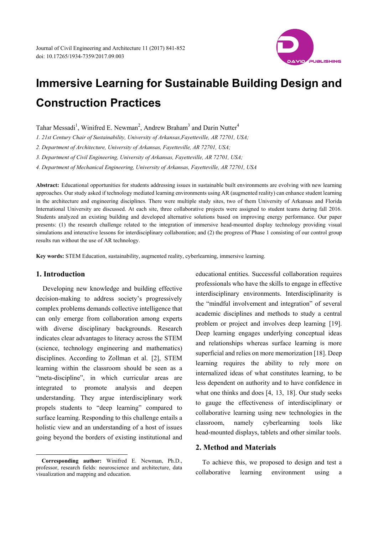

Tahar Messadi<sup>1</sup>, Winifred E. Newman<sup>2</sup>, Andrew Braham<sup>3</sup> and Darin Nutter<sup>4</sup>

*1. 21st Century Chair of Sustainability, University of Arkansas,Fayetteville, AR 72701, USA;*

*2. Department of Architecture, University of Arkansas, Fayetteville, AR 72701, USA;*

*3. Department of Civil Engineering, University of Arkansas, Fayetteville, AR 72701, USA;*

*4. Department of Mechanical Engineering, University of Arkansas, Fayetteville, AR 72701, USA* 

**Abstract:** Educational opportunities for students addressing issues in sustainable built environments are evolving with new learning approaches. Our study asked if technology mediated learning environments using AR (augmented reality) can enhance student learning in the architecture and engineering disciplines. There were multiple study sites, two of them University of Arkansas and Florida International University are discussed. At each site, three collaborative projects were assigned to student teams during fall 2016. Students analyzed an existing building and developed alternative solutions based on improving energy performance. Our paper presents: (1) the research challenge related to the integration of immersive head-mounted display technology providing visual simulations and interactive lessons for interdisciplinary collaboration; and (2) the progress of Phase 1 consisting of our control group results run without the use of AR technology.

**Key words:** STEM Education, sustainability, augmented reality, cyberlearning, immersive learning.

## **1. Introduction**

 $\overline{a}$ 

Developing new knowledge and building effective decision-making to address society's progressively complex problems demands collective intelligence that can only emerge from collaboration among experts with diverse disciplinary backgrounds. Research indicates clear advantages to literacy across the STEM (science, technology engineering and mathematics) disciplines. According to Zollman et al. [2], STEM learning within the classroom should be seen as a "meta-discipline", in which curricular areas are integrated to promote analysis and deepen understanding. They argue interdisciplinary work propels students to "deep learning" compared to surface learning. Responding to this challenge entails a holistic view and an understanding of a host of issues going beyond the borders of existing institutional and

**Corresponding author:** Winifred E. Newman, Ph.D., professor, research fields: neuroscience and architecture, data visualization and mapping and education.

educational entities. Successful collaboration requires professionals who have the skills to engage in effective interdisciplinary environments. Interdisciplinarity is the "mindful involvement and integration" of several academic disciplines and methods to study a central problem or project and involves deep learning [19]. Deep learning engages underlying conceptual ideas and relationships whereas surface learning is more superficial and relies on more memorization [18]. Deep learning requires the ability to rely more on internalized ideas of what constitutes learning, to be less dependent on authority and to have confidence in what one thinks and does [4, 13, 18]. Our study seeks to gauge the effectiveness of interdisciplinary or collaborative learning using new technologies in the classroom, namely cyberlearning tools like head-mounted displays, tablets and other similar tools.

# **2. Method and Materials**

To achieve this, we proposed to design and test a collaborative learning environment using a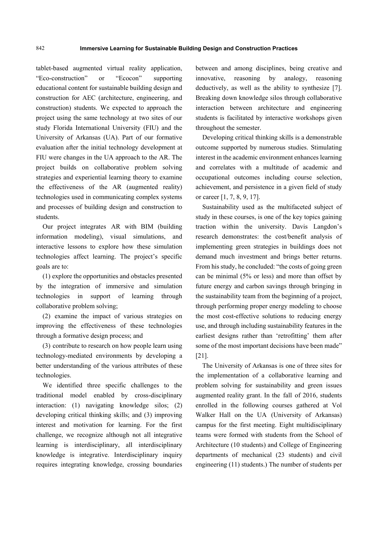tablet-based augmented virtual reality application, "Eco-construction" or "Ecocon" supporting educational content for sustainable building design and construction for AEC (architecture, engineering, and construction) students. We expected to approach the project using the same technology at two sites of our study Florida International University (FIU) and the University of Arkansas (UA). Part of our formative evaluation after the initial technology development at FIU were changes in the UA approach to the AR. The project builds on collaborative problem solving strategies and experiential learning theory to examine the effectiveness of the AR (augmented reality) technologies used in communicating complex systems and processes of building design and construction to students.

Our project integrates AR with BIM (building information modeling), visual simulations, and interactive lessons to explore how these simulation technologies affect learning. The project's specific goals are to:

(1) explore the opportunities and obstacles presented by the integration of immersive and simulation technologies in support of learning through collaborative problem solving;

(2) examine the impact of various strategies on improving the effectiveness of these technologies through a formative design process; and

(3) contribute to research on how people learn using technology-mediated environments by developing a better understanding of the various attributes of these technologies.

We identified three specific challenges to the traditional model enabled by cross-disciplinary interaction: (1) navigating knowledge silos; (2) developing critical thinking skills; and (3) improving interest and motivation for learning. For the first challenge, we recognize although not all integrative learning is interdisciplinary, all interdisciplinary knowledge is integrative. Interdisciplinary inquiry requires integrating knowledge, crossing boundaries between and among disciplines, being creative and innovative, reasoning by analogy, reasoning deductively, as well as the ability to synthesize [7]. Breaking down knowledge silos through collaborative interaction between architecture and engineering students is facilitated by interactive workshops given throughout the semester.

Developing critical thinking skills is a demonstrable outcome supported by numerous studies. Stimulating interest in the academic environment enhances learning and correlates with a multitude of academic and occupational outcomes including course selection, achievement, and persistence in a given field of study or career [1, 7, 8, 9, 17].

Sustainability used as the multifaceted subject of study in these courses, is one of the key topics gaining traction within the university. Davis Langdon's research demonstrates: the cost/benefit analysis of implementing green strategies in buildings does not demand much investment and brings better returns. From his study, he concluded: "the costs of going green can be minimal (5% or less) and more than offset by future energy and carbon savings through bringing in the sustainability team from the beginning of a project, through performing proper energy modeling to choose the most cost-effective solutions to reducing energy use, and through including sustainability features in the earliest designs rather than 'retrofitting' them after some of the most important decisions have been made" [21].

The University of Arkansas is one of three sites for the implementation of a collaborative learning and problem solving for sustainability and green issues augmented reality grant. In the fall of 2016, students enrolled in the following courses gathered at Vol Walker Hall on the UA (University of Arkansas) campus for the first meeting. Eight multidisciplinary teams were formed with students from the School of Architecture (10 students) and College of Engineering departments of mechanical (23 students) and civil engineering (11) students.) The number of students per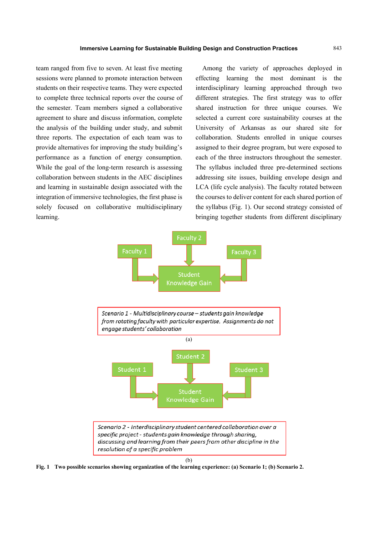team ranged from five to seven. At least five meeting sessions were planned to promote interaction between students on their respective teams. They were expected to complete three technical reports over the course of the semester. Team members signed a collaborative agreement to share and discuss information, complete the analysis of the building under study, and submit three reports. The expectation of each team was to provide alternatives for improving the study building's performance as a function of energy consumption. While the goal of the long-term research is assessing collaboration between students in the AEC disciplines and learning in sustainable design associated with the integration of immersive technologies, the first phase is solely focused on collaborative multidisciplinary learning.

Among the variety of approaches deployed in effecting learning the most dominant is the interdisciplinary learning approached through two different strategies. The first strategy was to offer shared instruction for three unique courses. We selected a current core sustainability courses at the University of Arkansas as our shared site for collaboration. Students enrolled in unique courses assigned to their degree program, but were exposed to each of the three instructors throughout the semester. The syllabus included three pre-determined sections addressing site issues, building envelope design and LCA (life cycle analysis). The faculty rotated between the courses to deliver content for each shared portion of the syllabus (Fig. 1). Our second strategy consisted of bringing together students from different disciplinary



(b)

**Fig. 1 Two possible scenarios showing organization of the learning experience: (a) Scenario 1; (b) Scenario 2.**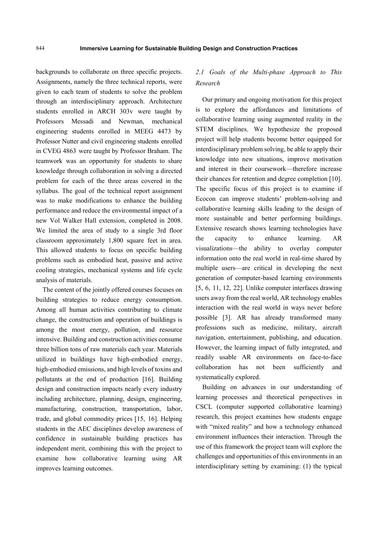backgrounds to collaborate on three specific projects. Assignments, namely the three technical reports, were given to each team of students to solve the problem through an interdisciplinary approach. Architecture students enrolled in ARCH 303v were taught by Professors Messadi and Newman, mechanical engineering students enrolled in MEEG 4473 by Professor Nutter and civil engineering students enrolled in CVEG 4863 were taught by Professor Braham. The teamwork was an opportunity for students to share knowledge through collaboration in solving a directed problem for each of the three areas covered in the syllabus. The goal of the technical report assignment was to make modifications to enhance the building performance and reduce the environmental impact of a new Vol Walker Hall extension, completed in 2008. We limited the area of study to a single 3rd floor classroom approximately 1,800 square feet in area. This allowed students to focus on specific building problems such as embodied heat, passive and active cooling strategies, mechanical systems and life cycle analysis of materials.

The content of the jointly offered courses focuses on building strategies to reduce energy consumption. Among all human activities contributing to climate change, the construction and operation of buildings is among the most energy, pollution, and resource intensive. Building and construction activities consume three billion tons of raw materials each year. Materials utilized in buildings have high-embodied energy, high-embodied emissions, and high levels of toxins and pollutants at the end of production [16]. Building design and construction impacts nearly every industry including architecture, planning, design, engineering, manufacturing, construction, transportation, labor, trade, and global commodity prices [15, 16]. Helping students in the AEC disciplines develop awareness of confidence in sustainable building practices has independent merit, combining this with the project to examine how collaborative learning using AR improves learning outcomes.

# *2.1 Goals of the Multi-phase Approach to This Research*

Our primary and ongoing motivation for this project is to explore the affordances and limitations of collaborative learning using augmented reality in the STEM disciplines. We hypothesize the proposed project will help students become better equipped for interdisciplinary problem solving, be able to apply their knowledge into new situations, improve motivation and interest in their coursework—therefore increase their chances for retention and degree completion [10]. The specific focus of this project is to examine if Ecocon can improve students' problem-solving and collaborative learning skills leading to the design of more sustainable and better performing buildings. Extensive research shows learning technologies have the capacity to enhance learning. AR visualizations—the ability to overlay computer information onto the real world in real-time shared by multiple users—are critical in developing the next generation of computer-based learning environments [5, 6, 11, 12, 22]. Unlike computer interfaces drawing users away from the real world, AR technology enables interaction with the real world in ways never before possible [3]. AR has already transformed many professions such as medicine, military, aircraft navigation, entertainment, publishing, and education. However, the learning impact of fully integrated, and readily usable AR environments on face-to-face collaboration has not been sufficiently and systematically explored.

Building on advances in our understanding of learning processes and theoretical perspectives in CSCL (computer supported collaborative learning) research, this project examines how students engage with "mixed reality" and how a technology enhanced environment influences their interaction. Through the use of this framework the project team will explore the challenges and opportunities of this environments in an interdisciplinary setting by examining: (1) the typical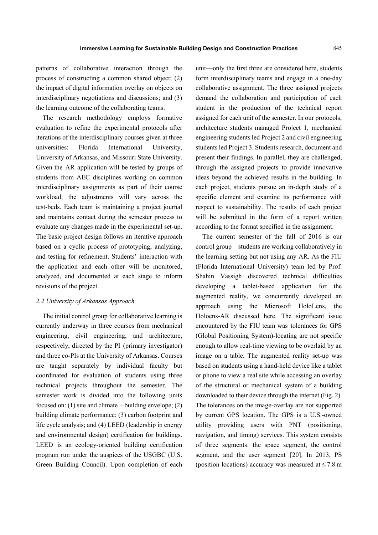patterns of collaborative interaction through the process of constructing a common shared object; (2) the impact of digital information overlay on objects on interdisciplinary negotiations and discussions; and (3) the learning outcome of the collaborating teams.

The research methodology employs formative evaluation to refine the experimental protocols after iterations of the interdisciplinary courses given at three universities: Florida International University, University of Arkansas, and Missouri State University. Given the AR application will be tested by groups of students from AEC disciplines working on common interdisciplinary assignments as part of their course workload, the adjustments will vary across the test-beds. Each team is maintaining a project journal and maintains contact during the semester process to evaluate any changes made in the experimental set-up. The basic project design follows an iterative approach based on a cyclic process of prototyping, analyzing, and testing for refinement. Students' interaction with the application and each other will be monitored, analyzed, and documented at each stage to inform revisions of the project.

## *2.2 University of Arkansas Approach*

The initial control group for collaborative learning is currently underway in three courses from mechanical engineering, civil engineering, and architecture, respectively, directed by the PI (primary investigator) and three co-PIs at the University of Arkansas. Courses are taught separately by individual faculty but coordinated for evaluation of students using three technical projects throughout the semester. The semester work is divided into the following units focused on: (1) site and climate  $+$  building envelope; (2) building climate performance; (3) carbon footprint and life cycle analysis; and (4) LEED (leadership in energy and environmental design) certification for buildings. LEED is an ecology-oriented building certification program run under the auspices of the USGBC (U.S. Green Building Council). Upon completion of each

unit—only the first three are considered here, students form interdisciplinary teams and engage in a one-day collaborative assignment. The three assigned projects demand the collaboration and participation of each student in the production of the technical report assigned for each unit of the semester. In our protocols, architecture students managed Project 1, mechanical engineering students led Project 2 and civil engineering students led Project 3. Students research, document and present their findings. In parallel, they are challenged, through the assigned projects to provide innovative ideas beyond the achieved results in the building. In each project, students pursue an in-depth study of a specific element and examine its performance with respect to sustainability. The results of each project will be submitted in the form of a report written according to the format specified in the assignment.

The current semester of the fall of 2016 is our control group—students are working collaboratively in the learning setting but not using any AR. As the FIU (Florida International University) team led by Prof. Shahin Vassigh discovered technical difficulties developing a tablet-based application for the augmented reality, we concurrently developed an approach using the Microsoft HoloLens, the Holoens-AR discussed here. The significant issue encountered by the FIU team was tolerances for GPS (Global Positioning System)-locating are not specific enough to allow real-time viewing to be overlaid by an image on a table. The augmented reality set-up was based on students using a hand-held device like a tablet or phone to view a real site while accessing an overlay of the structural or mechanical system of a building downloaded to their device through the internet (Fig. 2). The tolerances on the image-overlay are not supported by current GPS location. The GPS is a U.S.-owned utility providing users with PNT (positioning, navigation, and timing) services. This system consists of three segments: the space segment, the control segment, and the user segment [20]. In 2013, PS (position locations) accuracy was measured at  $\leq$  7.8 m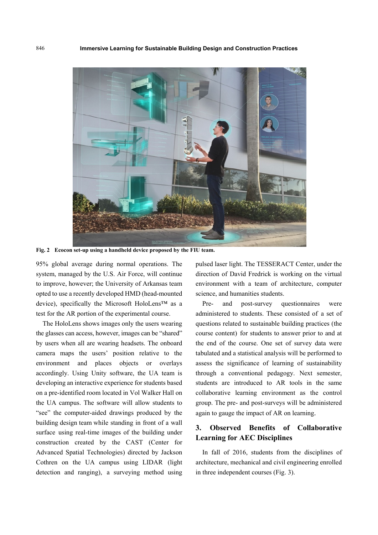

**Fig. 2 Ecocon set-up using a handheld device proposed by the FIU team.** 

95% global average during normal operations. The system, managed by the U.S. Air Force, will continue to improve, however; the University of Arkansas team opted to use a recently developed HMD (head-mounted device), specifically the Microsoft HoloLens™ as a test for the AR portion of the experimental course.

The HoloLens shows images only the users wearing the glasses can access, however, images can be "shared" by users when all are wearing headsets. The onboard camera maps the users' position relative to the environment and places objects or overlays accordingly. Using Unity software, the UA team is developing an interactive experience for students based on a pre-identified room located in Vol Walker Hall on the UA campus. The software will allow students to "see" the computer-aided drawings produced by the building design team while standing in front of a wall surface using real-time images of the building under construction created by the CAST (Center for Advanced Spatial Technologies) directed by Jackson Cothren on the UA campus using LIDAR (light detection and ranging), a surveying method using

pulsed laser light. The TESSERACT Center, under the direction of David Fredrick is working on the virtual environment with a team of architecture, computer science, and humanities students.

Pre- and post-survey questionnaires were administered to students. These consisted of a set of questions related to sustainable building practices (the course content) for students to answer prior to and at the end of the course. One set of survey data were tabulated and a statistical analysis will be performed to assess the significance of learning of sustainability through a conventional pedagogy. Next semester, students are introduced to AR tools in the same collaborative learning environment as the control group. The pre- and post-surveys will be administered again to gauge the impact of AR on learning.

# **3. Observed Benefits of Collaborative Learning for AEC Disciplines**

In fall of 2016, students from the disciplines of architecture, mechanical and civil engineering enrolled in three independent courses (Fig. 3).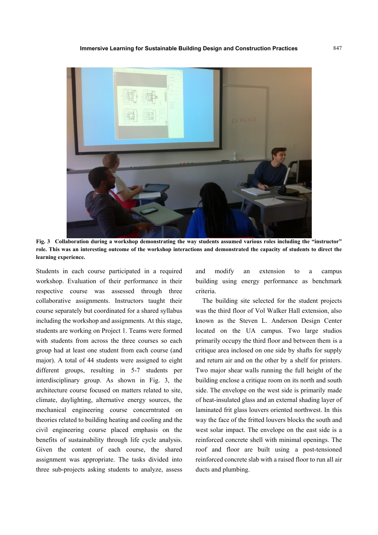

**Fig. 3 Collaboration during a workshop demonstrating the way students assumed various roles including the "instructor" role. This was an interesting outcome of the workshop interactions and demonstrated the capacity of students to direct the learning experience.** 

Students in each course participated in a required workshop. Evaluation of their performance in their respective course was assessed through three collaborative assignments. Instructors taught their course separately but coordinated for a shared syllabus including the workshop and assignments. At this stage, students are working on Project 1. Teams were formed with students from across the three courses so each group had at least one student from each course (and major). A total of 44 students were assigned to eight different groups, resulting in 5-7 students per interdisciplinary group. As shown in Fig. 3, the architecture course focused on matters related to site, climate, daylighting, alternative energy sources, the mechanical engineering course concerntrated on theories related to building heating and cooling and the civil engineering course placed emphasis on the benefits of sustainability through life cycle analysis. Given the content of each course, the shared assignment was appropriate. The tasks divided into three sub-projects asking students to analyze, assess

and modify an extension to a campus building using energy performance as benchmark criteria.

The building site selected for the student projects was the third floor of Vol Walker Hall extension, also known as the Steven L. Anderson Design Center located on the UA campus. Two large studios primarily occupy the third floor and between them is a critique area inclosed on one side by shafts for supply and return air and on the other by a shelf for printers. Two major shear walls running the full height of the building enclose a critique room on its north and south side. The envelope on the west side is primarily made of heat-insulated glass and an external shading layer of laminated frit glass louvers oriented northwest. In this way the face of the fritted louvers blocks the south and west solar impact. The envelope on the east side is a reinforced concrete shell with minimal openings. The roof and floor are built using a post-tensioned reinforced concrete slab with a raised floor to run all air ducts and plumbing.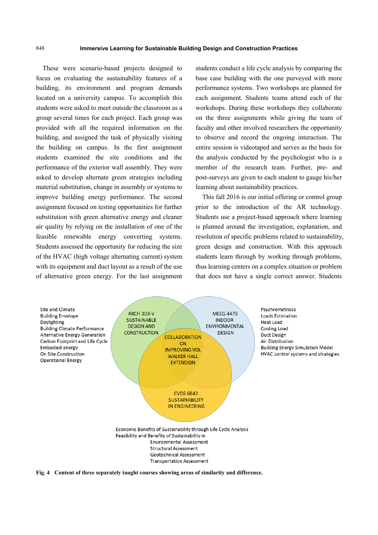These were scenario-based projects designed to focus on evaluating the sustainability features of a building, its environment and program demands located on a university campus. To accomplish this students were asked to meet outside the classroom as a group several times for each project. Each group was provided with all the required information on the building, and assigned the task of physically visiting the building on campus. In the first assignment students examined the site conditions and the performance of the exterior wall assembly. They were asked to develop alternate green strategies including material substitution, change in assembly or systems to improve building energy performance. The second assignment focused on testing opportunities for further substitution with green alternative energy and cleaner air quality by relying on the installation of one of the feasible renewable energy converting systems. Students assessed the opportunity for reducing the size of the HVAC (high voltage alternating current) system with its equipment and duct layout as a result of the use of alternative green energy. For the last assignment

students conduct a life cycle analysis by comparing the base case building with the one purveyed with more performance systems. Two workshops are planned for each assignment. Students teams attend each of the workshops. During these workshops they collaborate on the three assignments while giving the team of faculty and other involved researchers the opportunity to observe and record the ongoing interaction. The entire session is videotaped and serves as the basis for the analysis conducted by the psychologist who is a member of the research team. Further, pre- and post-surveys are given to each student to gauge his/her learning about sustainability practices.

This fall 2016 is our initial offering or control group prior to the introduction of the AR technology. Students use a project-based approach where learning is planned around the investigation, explanation, and resolution of specific problems related to sustainability, green design and construction. With this approach students learn through by working through problems, thus learning centers on a complex situation or problem that does not have a single correct answer. Students



**Fig. 4 Content of three separately taught courses showing areas of similarity and difference.**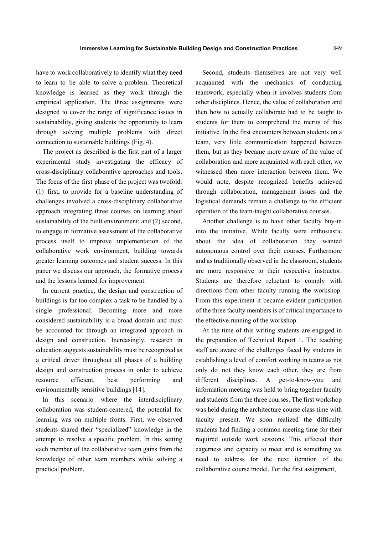have to work collaboratively to identify what they need to learn to be able to solve a problem. Theoretical knowledge is learned as they work through the empirical application. The three assignments were designed to cover the range of significance issues in sustainability, giving students the opportunity to learn through solving multiple problems with direct connection to sustainable buildings (Fig. 4).

The project as described is the first part of a larger experimental study investigating the efficacy of cross-disciplinary collaborative approaches and tools. The focus of the first phase of the project was twofold: (1) first, to provide for a baseline understanding of challenges involved a cross-disciplinary collaborative approach integrating three courses on learning about sustainability of the built environment; and (2) second, to engage in formative assessment of the collaborative process itself to improve implementation of the collaborative work environment, building towards greater learning outcomes and student success. In this paper we discuss our approach, the formative process and the lessons learned for improvement.

In current practice, the design and construction of buildings is far too complex a task to be handled by a single professional. Becoming more and more considered sustainability is a broad domain and must be accounted for through an integrated approach in design and construction. Increasingly, research in education suggests sustainability must be recognized as a critical driver throughout all phases of a building design and construction process in order to achieve resource efficient, best performing and environmentally sensitive buildings [14].

In this scenario where the interdisciplinary collaboration was student-centered, the potential for learning was on multiple fronts. First, we observed students shared their "specialized" knowledge in the attempt to resolve a specific problem. In this setting each member of the collaborative team gains from the knowledge of other team members while solving a practical problem.

Second, students themselves are not very well acquainted with the mechanics of conducting teamwork, especially when it involves students from other disciplines. Hence, the value of collaboration and then how to actually collaborate had to be taught to students for them to comprehend the merits of this initiative. In the first encounters between students on a team, very little communication happened between them, but as they became more aware of the value of collaboration and more acquainted with each other, we witnessed then more interaction between them. We would note, despite recognized benefits achieved through collaboration, management issues and the logistical demands remain a challenge to the efficient operation of the team-taught collaborative courses.

Another challenge is to have other faculty buy-in into the initiative. While faculty were enthusiastic about the idea of collaboration they wanted autonomous control over their courses. Furthermore and as traditionally observed in the classroom, students are more responsive to their respective instructor. Students are therefore reluctant to comply with directions from other faculty running the workshop. From this experiment it became evident participation of the three faculty members is of critical importance to the effective running of the workshop.

At the time of this writing students are engaged in the preparation of Technical Report 1. The teaching staff are aware of the challenges faced by students in establishing a level of comfort working in teams as not only do not they know each other, they are from different disciplines. A get-to-know-you and information meeting was held to bring together faculty and students from the three courses. The first workshop was held during the architecture course class time with faculty present. We soon realized the difficulty students had finding a common meeting time for their required outside work sessions. This effected their eagerness and capacity to meet and is something we need to address for the next iteration of the collaborative course model. For the first assignment,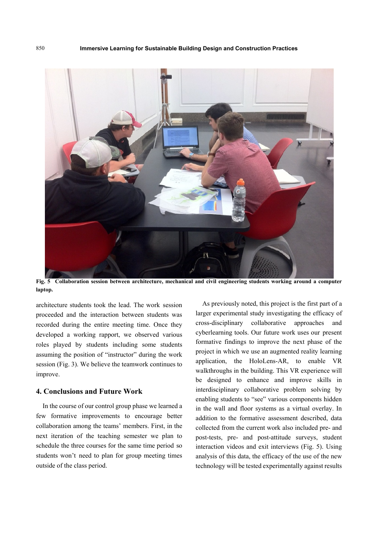

**Fig. 5 Collaboration session between architecture, mechanical and civil engineering students working around a computer laptop.** 

architecture students took the lead. The work session proceeded and the interaction between students was recorded during the entire meeting time. Once they developed a working rapport, we observed various roles played by students including some students assuming the position of "instructor" during the work session (Fig. 3). We believe the teamwork continues to improve.

# **4. Conclusions and Future Work**

In the course of our control group phase we learned a few formative improvements to encourage better collaboration among the teams' members. First, in the next iteration of the teaching semester we plan to schedule the three courses for the same time period so students won't need to plan for group meeting times outside of the class period.

As previously noted, this project is the first part of a larger experimental study investigating the efficacy of cross-disciplinary collaborative approaches and cyberlearning tools. Our future work uses our present formative findings to improve the next phase of the project in which we use an augmented reality learning application, the HoloLens-AR, to enable VR walkthroughs in the building. This VR experience will be designed to enhance and improve skills in interdisciplinary collaborative problem solving by enabling students to "see" various components hidden in the wall and floor systems as a virtual overlay. In addition to the formative assessment described, data collected from the current work also included pre- and post-tests, pre- and post-attitude surveys, student interaction videos and exit interviews (Fig. 5). Using analysis of this data, the efficacy of the use of the new technology will be tested experimentally against results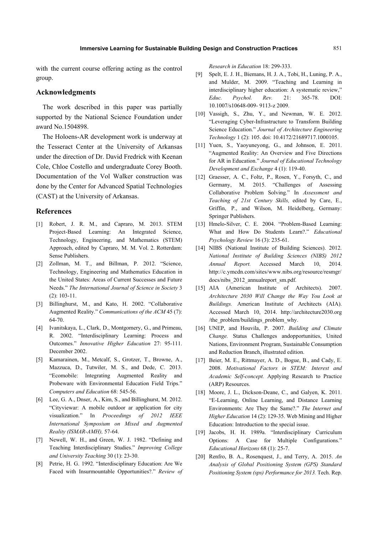with the current course offering acting as the control group.

## **Acknowledgments**

The work described in this paper was partially supported by the National Science Foundation under award No.1504898.

The Holoens-AR development work is underway at the Tesseract Center at the University of Arkansas under the direction of Dr. David Fredrick with Keenan Cole, Chloe Costello and undergraduate Corey Booth. Documentation of the Vol Walker construction was done by the Center for Advanced Spatial Technologies (CAST) at the University of Arkansas.

## **References**

- [1] Robert, J. R. M., and Capraro, M. 2013. STEM Project-Based Learning: An Integrated Science, Technology, Engineering, and Mathematics (STEM) Approach, edited by Capraro, M. M. Vol. 2. Rotterdam: Sense Publishers.
- [2] Zollman, M. T., and Billman, P. 2012. "Science, Technology, Engineering and Mathematics Education in the United States: Areas of Current Successes and Future Needs." *The International Journal of Science in Society* 3 (2): 103-11.
- [3] Billinghurst, M., and Kato, H. 2002. "Collaborative Augmented Reality." *Communications of the ACM* 45 (7): 64-70.
- [4] Ivanitskaya, L., Clark, D., Montgomery, G., and Primeau, R. 2002. "Interdisciplinary Learning: Process and Outcomes." *Innovative Higher Education* 27: 95-111. December 2002.
- [5] Kamarainen, M., Metcalf, S., Grotzer, T., Browne, A., Mazzuca, D., Tutwiler, M. S., and Dede, C. 2013. "Ecomobile: Integrating Augmented Reality and Probeware with Environmental Education Field Trips." *Computers and Education* 68: 545-56.
- [6] Lee, G. A., Dnser, A., Kim, S., and Billinghurst, M. 2012. "Cityviewar: A mobile outdoor ar application for city visualization." In *Proceedings of 2012 IEEE International Symposium on Mixed and Augmented Reality (ISMAR-AMH),* 57-64.
- [7] Newell, W. H., and Green, W. J. 1982. "Defining and Teaching Interdisciplinary Studies." *Improving College and University Teaching* 30 (1): 23-30.
- [8] Petrie, H. G. 1992. "Interdisciplinary Education: Are We Faced with Insurmountable Opportunities?." *Review of*

*Research in Education* 18: 299-333.

- [9] Spelt, E. J. H., Biemans, H. J. A., Tobi, H., Luning, P. A., and Mulder, M. 2009. "Teaching and Learning in interdisciplinary higher education: A systematic review," *Educ. Psychol. Rev.* 21: 365-78. DOI: 10.1007/s10648-009- 9113-z 2009.
- [10] Vassigh, S., Zhu, Y., and Newman, W. E. 2012. "Leveraging Cyber-Infrastructure to Transform Building Science Education." *Journal of Architecture Engineering Technology* 1 (2): 105. doi: 10.4172/21689717.1000105.
- [11] Yuen, S., Yaoyuneyong, G., and Johnson, E. 2011. "Augmented Reality: An Overview and Five Directions for AR in Education." *Journal of Educational Technology Development and Exchange* 4 (1): 119-40.
- [12] Graesser, A. C., Foltz, P., Rosen, Y., Forsyth, C., and Germany, M. 2015. "Challenges of Assessing Collaborative Problem Solving." In *Assessment and Teaching of 21st Century Skills,* edited by Care, E., Griffin, P., and Wilson, M. Heidelberg, Germany: Springer Publishers.
- [13] Hmelo-Silver, C. E. 2004. "Problem-Based Learning: What and How Do Students Learn?." *Educational Psychology Review* 16 (3): 235-61.
- [14] NIBS (National Institute of Building Sciences). 2012. *National Institute of Building Sciences (NIBS) 2012 Annual Report.* Accessed March 10, 2014. http://c.ymcdn.com/sites/www.nibs.org/resource/resmgr/ docs/nibs 2012 annualreport sm.pdf.
- [15] AIA (American Institute of Architects). 2007. *Architecture 2030 Will Change the Way You Look at Buildings.* American Institute of Architects (AIA). Accessed March 10, 2014. http://architecture2030.org /the\_problem/buildings\_problem\_why.
- [16] UNEP, and Houvila, P. 2007. *Building and Climate Change.* Status Challenges andopportunities, United Nations, Environment Program, Sustainable Consumption and Reduction Branch, illustrated edition.
- [17] Beier, M. E., Rittmayer, A. D., Bogue, B., and Cady, E. 2008. *Motivational Factors in STEM: Interest and Academic Self-concept.* Applying Research to Practice (ARP) Resources.
- [18] Moore, J. L., Dickson-Deane, C., and Galyen, K. 2011. "E-Learning, Online Learning, and Distance Learning Environments: Are They the Same?." *The Internet and Higher Education* 14 (2): 129-35. Web Mining and Higher Education: Introduction to the special issue.
- [19] Jacobs, H. H. 1989a. "Interdisciplinary Curriculum Options: A Case for Multiple Configurations." *Educational Horizons* 68 (1): 25-7.
- [20] Renfro, B. A., Rosenquest, J., and Terry, A. 2015. *An Analysis of Global Positioning System (GPS) Standard Positioning System (sps) Performance for 2013.* Tech. Rep.